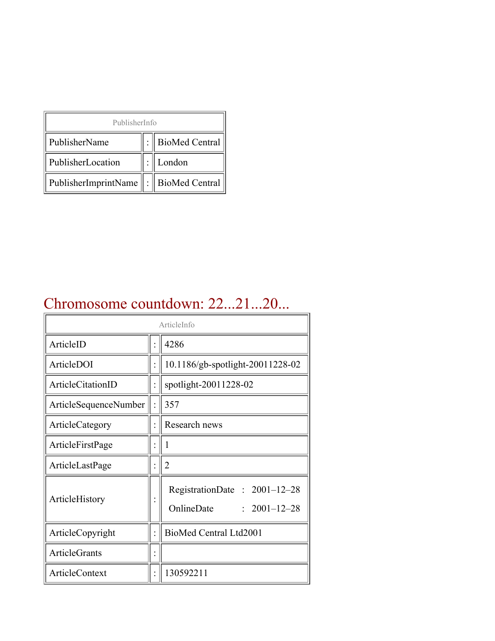| PublisherInfo                         |  |                    |  |  |
|---------------------------------------|--|--------------------|--|--|
| PublisherName                         |  | :   BioMed Central |  |  |
| PublisherLocation                     |  | London             |  |  |
| PublisherImprintName : BioMed Central |  |                    |  |  |

## Chromosome countdown: 22...21...20...

| ArticleInfo              |  |                                                                  |
|--------------------------|--|------------------------------------------------------------------|
| ArticleID                |  | 4286                                                             |
| ArticleDOI               |  | 10.1186/gb-spotlight-20011228-02                                 |
| <b>ArticleCitationID</b> |  | spotlight-20011228-02                                            |
| ArticleSequenceNumber    |  | 357                                                              |
| ArticleCategory          |  | Research news                                                    |
| ArticleFirstPage         |  | 1                                                                |
| ArticleLastPage          |  | $\overline{2}$                                                   |
| ArticleHistory           |  | RegistrationDate: 2001-12-28<br>OnlineDate<br>$: 2001 - 12 - 28$ |
| ArticleCopyright         |  | BioMed Central Ltd2001                                           |
| <b>ArticleGrants</b>     |  |                                                                  |
| ArticleContext           |  | 130592211                                                        |